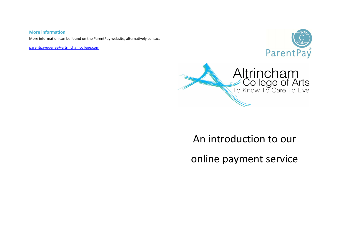## **More information**

More information can be found on the ParentPay website, alternatively contact

parentpayqueries@altrinchamcollege.com





# An introduction to our

online payment service